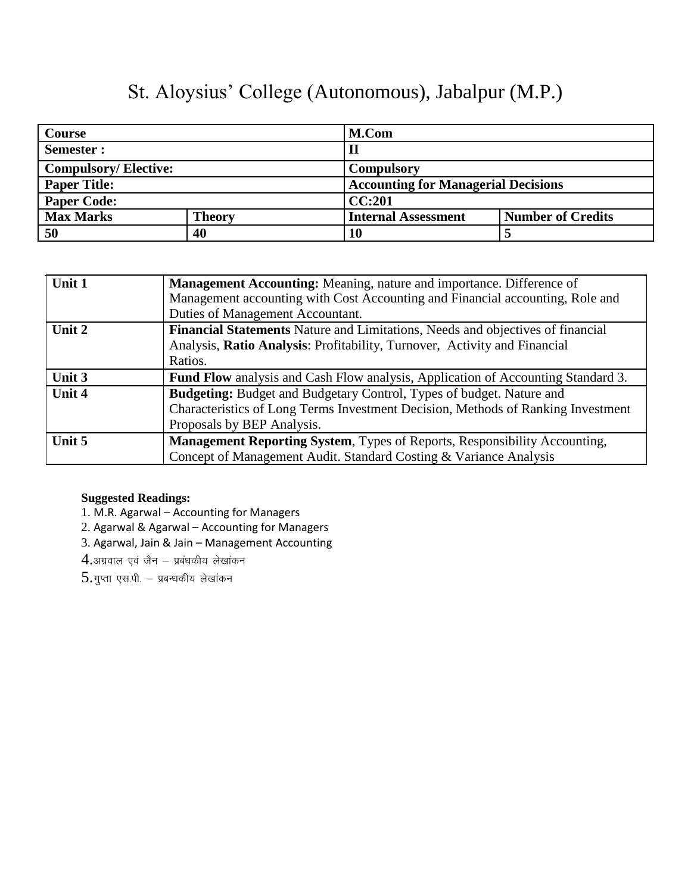| Course                      |               | M.Com                      |                                            |  |
|-----------------------------|---------------|----------------------------|--------------------------------------------|--|
| Semester :                  |               | $\mathbf H$                |                                            |  |
| <b>Compulsory/Elective:</b> |               | <b>Compulsory</b>          |                                            |  |
| <b>Paper Title:</b>         |               |                            | <b>Accounting for Managerial Decisions</b> |  |
| <b>Paper Code:</b>          |               | CC:201                     |                                            |  |
| <b>Max Marks</b>            | <b>Theory</b> | <b>Internal Assessment</b> | <b>Number of Credits</b>                   |  |
| 50                          | 40            | 10                         |                                            |  |

| Unit 1 | Management Accounting: Meaning, nature and importance. Difference of                    |
|--------|-----------------------------------------------------------------------------------------|
|        | Management accounting with Cost Accounting and Financial accounting, Role and           |
|        | Duties of Management Accountant.                                                        |
| Unit 2 | Financial Statements Nature and Limitations, Needs and objectives of financial          |
|        | Analysis, Ratio Analysis: Profitability, Turnover, Activity and Financial               |
|        | Ratios.                                                                                 |
| Unit 3 | <b>Fund Flow</b> analysis and Cash Flow analysis, Application of Accounting Standard 3. |
| Unit 4 | <b>Budgeting:</b> Budget and Budgetary Control, Types of budget. Nature and             |
|        | Characteristics of Long Terms Investment Decision, Methods of Ranking Investment        |
|        | Proposals by BEP Analysis.                                                              |
| Unit 5 | <b>Management Reporting System, Types of Reports, Responsibility Accounting,</b>        |
|        | Concept of Management Audit. Standard Costing & Variance Analysis                       |

- 1. M.R. Agarwal Accounting for Managers
- 2. Agarwal & Agarwal Accounting for Managers
- 3. Agarwal, Jain & Jain Management Accounting
- $4.$ अग्रवाल एवं जैन प्रबंधकीय लेखांकन
- $5.$ गुप्ता एस.पी.  $-$  प्रबन्धकीय लेखांकन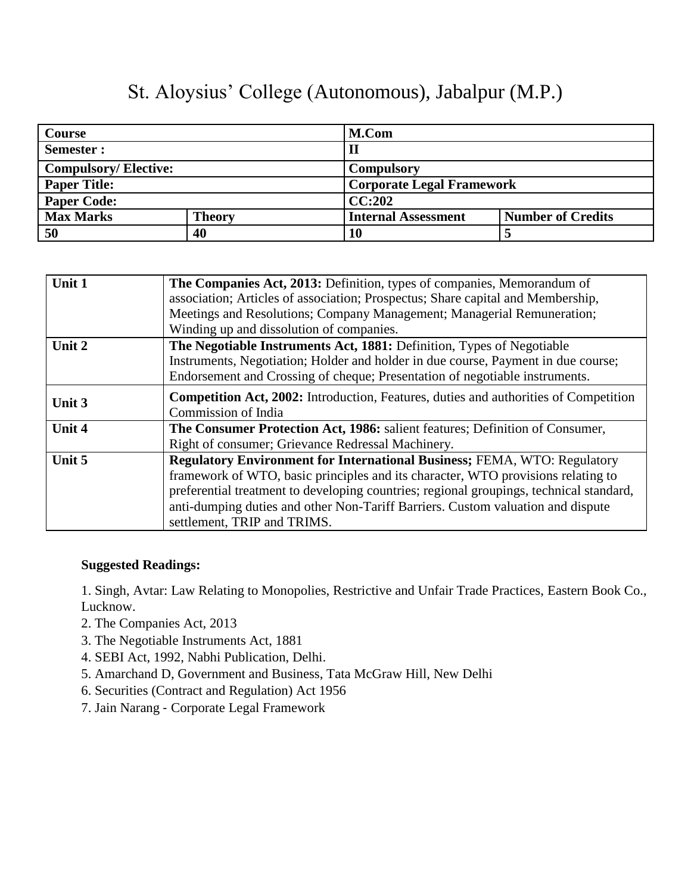| <b>Course</b>               |               | M.Com                            |                          |
|-----------------------------|---------------|----------------------------------|--------------------------|
| Semester :                  |               | $\mathbf H$                      |                          |
| <b>Compulsory/Elective:</b> |               | <b>Compulsory</b>                |                          |
| <b>Paper Title:</b>         |               | <b>Corporate Legal Framework</b> |                          |
| <b>Paper Code:</b>          |               | CC:202                           |                          |
| <b>Max Marks</b>            | <b>Theory</b> | <b>Internal Assessment</b>       | <b>Number of Credits</b> |
| 50                          | 40            | 10                               |                          |

| Unit 1 | The Companies Act, 2013: Definition, types of companies, Memorandum of                      |
|--------|---------------------------------------------------------------------------------------------|
|        | association; Articles of association; Prospectus; Share capital and Membership,             |
|        | Meetings and Resolutions; Company Management; Managerial Remuneration;                      |
|        | Winding up and dissolution of companies.                                                    |
| Unit 2 | The Negotiable Instruments Act, 1881: Definition, Types of Negotiable                       |
|        | Instruments, Negotiation; Holder and holder in due course, Payment in due course;           |
|        | Endorsement and Crossing of cheque; Presentation of negotiable instruments.                 |
| Unit 3 | <b>Competition Act, 2002:</b> Introduction, Features, duties and authorities of Competition |
|        | Commission of India                                                                         |
| Unit 4 | The Consumer Protection Act, 1986: salient features; Definition of Consumer,                |
|        | Right of consumer; Grievance Redressal Machinery.                                           |
| Unit 5 | <b>Regulatory Environment for International Business; FEMA, WTO: Regulatory</b>             |
|        | framework of WTO, basic principles and its character, WTO provisions relating to            |
|        | preferential treatment to developing countries; regional groupings, technical standard,     |
|        | anti-dumping duties and other Non-Tariff Barriers. Custom valuation and dispute             |
|        | settlement, TRIP and TRIMS.                                                                 |

#### **Suggested Readings:**

1. Singh, Avtar: Law Relating to Monopolies, Restrictive and Unfair Trade Practices, Eastern Book Co., Lucknow.

- 2. The Companies Act, 2013
- 3. The Negotiable Instruments Act, 1881
- 4. SEBI Act, 1992, Nabhi Publication, Delhi.
- 5. Amarchand D, Government and Business, Tata McGraw Hill, New Delhi
- 6. Securities (Contract and Regulation) Act 1956
- 7. Jain Narang ‐ Corporate Legal Framework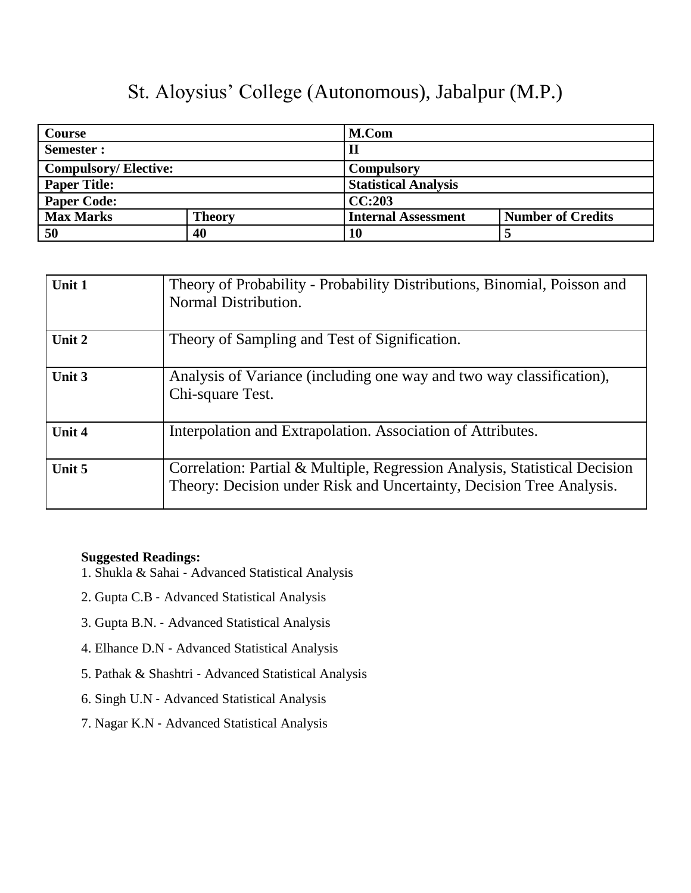| Course                      |               | M.Com                       |                          |
|-----------------------------|---------------|-----------------------------|--------------------------|
| Semester :                  |               | $\mathbf H$                 |                          |
| <b>Compulsory/Elective:</b> |               | <b>Compulsory</b>           |                          |
| <b>Paper Title:</b>         |               | <b>Statistical Analysis</b> |                          |
| <b>Paper Code:</b>          |               | CC:203                      |                          |
| <b>Max Marks</b>            | <b>Theory</b> | <b>Internal Assessment</b>  | <b>Number of Credits</b> |
| 50                          | 40            | 10                          |                          |

| Unit 1 | Theory of Probability - Probability Distributions, Binomial, Poisson and<br>Normal Distribution.                                                   |
|--------|----------------------------------------------------------------------------------------------------------------------------------------------------|
| Unit 2 | Theory of Sampling and Test of Signification.                                                                                                      |
| Unit 3 | Analysis of Variance (including one way and two way classification),<br>Chi-square Test.                                                           |
| Unit 4 | Interpolation and Extrapolation. Association of Attributes.                                                                                        |
| Unit 5 | Correlation: Partial & Multiple, Regression Analysis, Statistical Decision<br>Theory: Decision under Risk and Uncertainty, Decision Tree Analysis. |

- 1. Shukla & Sahai ‐ Advanced Statistical Analysis
- 2. Gupta C.B ‐ Advanced Statistical Analysis
- 3. Gupta B.N. ‐ Advanced Statistical Analysis
- 4. Elhance D.N ‐ Advanced Statistical Analysis
- 5. Pathak & Shashtri ‐ Advanced Statistical Analysis
- 6. Singh U.N ‐ Advanced Statistical Analysis
- 7. Nagar K.N ‐ Advanced Statistical Analysis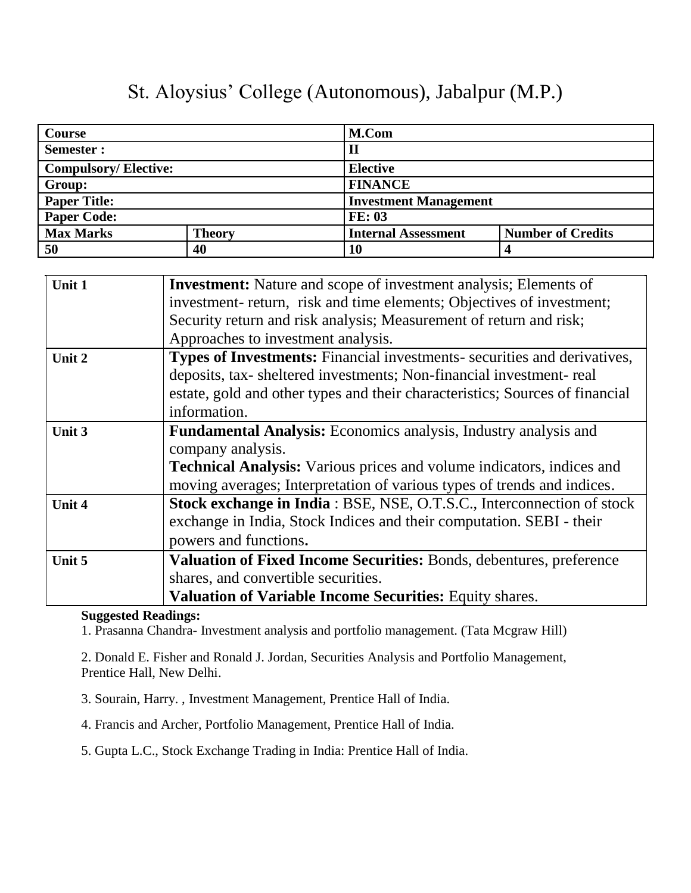| <b>Course</b>               |               | M.Com                      |                              |  |  |
|-----------------------------|---------------|----------------------------|------------------------------|--|--|
| Semester:                   |               | II                         |                              |  |  |
| <b>Compulsory/Elective:</b> |               | <b>Elective</b>            |                              |  |  |
| Group:                      |               | <b>FINANCE</b>             |                              |  |  |
| <b>Paper Title:</b>         |               |                            | <b>Investment Management</b> |  |  |
| <b>Paper Code:</b>          |               | <b>FE: 03</b>              |                              |  |  |
| <b>Max Marks</b>            | <b>Theory</b> | <b>Internal Assessment</b> | <b>Number of Credits</b>     |  |  |
| 50                          | 40            | 10                         |                              |  |  |

| Unit 1 | <b>Investment:</b> Nature and scope of investment analysis; Elements of      |  |  |
|--------|------------------------------------------------------------------------------|--|--|
|        | investment- return, risk and time elements; Objectives of investment;        |  |  |
|        | Security return and risk analysis; Measurement of return and risk;           |  |  |
|        | Approaches to investment analysis.                                           |  |  |
| Unit 2 | Types of Investments: Financial investments- securities and derivatives,     |  |  |
|        | deposits, tax-sheltered investments; Non-financial investment-real           |  |  |
|        | estate, gold and other types and their characteristics; Sources of financial |  |  |
|        | information.                                                                 |  |  |
| Unit 3 | Fundamental Analysis: Economics analysis, Industry analysis and              |  |  |
|        | company analysis.                                                            |  |  |
|        | <b>Technical Analysis:</b> Various prices and volume indicators, indices and |  |  |
|        | moving averages; Interpretation of various types of trends and indices.      |  |  |
| Unit 4 | Stock exchange in India: BSE, NSE, O.T.S.C., Interconnection of stock        |  |  |
|        | exchange in India, Stock Indices and their computation. SEBI - their         |  |  |
|        | powers and functions.                                                        |  |  |
| Unit 5 | Valuation of Fixed Income Securities: Bonds, debentures, preference          |  |  |
|        | shares, and convertible securities.                                          |  |  |
|        | <b>Valuation of Variable Income Securities:</b> Equity shares.               |  |  |

#### **Suggested Readings:**

1. Prasanna Chandra- Investment analysis and portfolio management. (Tata Mcgraw Hill)

2. Donald E. Fisher and Ronald J. Jordan, Securities Analysis and Portfolio Management, Prentice Hall, New Delhi.

3. Sourain, Harry. , Investment Management, Prentice Hall of India.

4. Francis and Archer, Portfolio Management, Prentice Hall of India.

5. Gupta L.C., Stock Exchange Trading in India: Prentice Hall of India.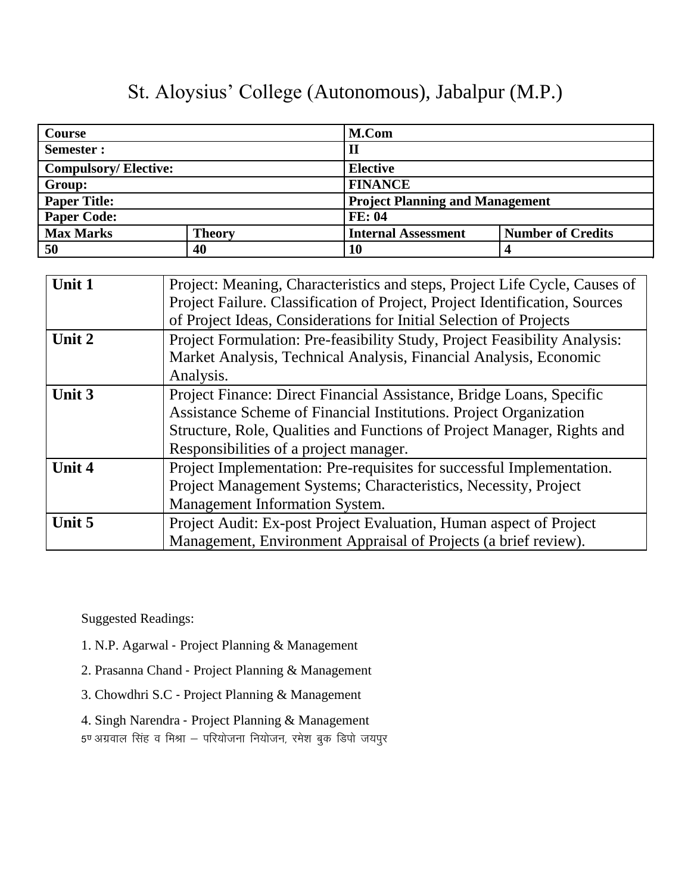| <b>Course</b>               |               | M.Com                                                  |
|-----------------------------|---------------|--------------------------------------------------------|
| Semester :                  |               | $\mathbf H$                                            |
| <b>Compulsory/Elective:</b> |               | <b>Elective</b>                                        |
| Group:                      |               | <b>FINANCE</b>                                         |
| <b>Paper Title:</b>         |               | <b>Project Planning and Management</b>                 |
| <b>Paper Code:</b>          |               | <b>FE: 04</b>                                          |
| <b>Max Marks</b>            | <b>Theory</b> | <b>Number of Credits</b><br><b>Internal Assessment</b> |
| 50                          | 40            | 10                                                     |

| Unit 1 | Project: Meaning, Characteristics and steps, Project Life Cycle, Causes of  |
|--------|-----------------------------------------------------------------------------|
|        | Project Failure. Classification of Project, Project Identification, Sources |
|        | of Project Ideas, Considerations for Initial Selection of Projects          |
| Unit 2 | Project Formulation: Pre-feasibility Study, Project Feasibility Analysis:   |
|        | Market Analysis, Technical Analysis, Financial Analysis, Economic           |
|        | Analysis.                                                                   |
| Unit 3 | Project Finance: Direct Financial Assistance, Bridge Loans, Specific        |
|        | Assistance Scheme of Financial Institutions. Project Organization           |
|        | Structure, Role, Qualities and Functions of Project Manager, Rights and     |
|        | Responsibilities of a project manager.                                      |
| Unit 4 | Project Implementation: Pre-requisites for successful Implementation.       |
|        | Project Management Systems; Characteristics, Necessity, Project             |
|        | Management Information System.                                              |
| Unit 5 | Project Audit: Ex-post Project Evaluation, Human aspect of Project          |
|        | Management, Environment Appraisal of Projects (a brief review).             |

Suggested Readings:

- 1. N.P. Agarwal ‐ Project Planning & Management
- 2. Prasanna Chand ‐ Project Planning & Management
- 3. Chowdhri S.C ‐ Project Planning & Management
- 4. Singh Narendra ‐ Project Planning & Management

5ण अग्रवाल सिंह व मिश्रा – परियोजना नियोजन, रमेश बुक डिपो जयपुर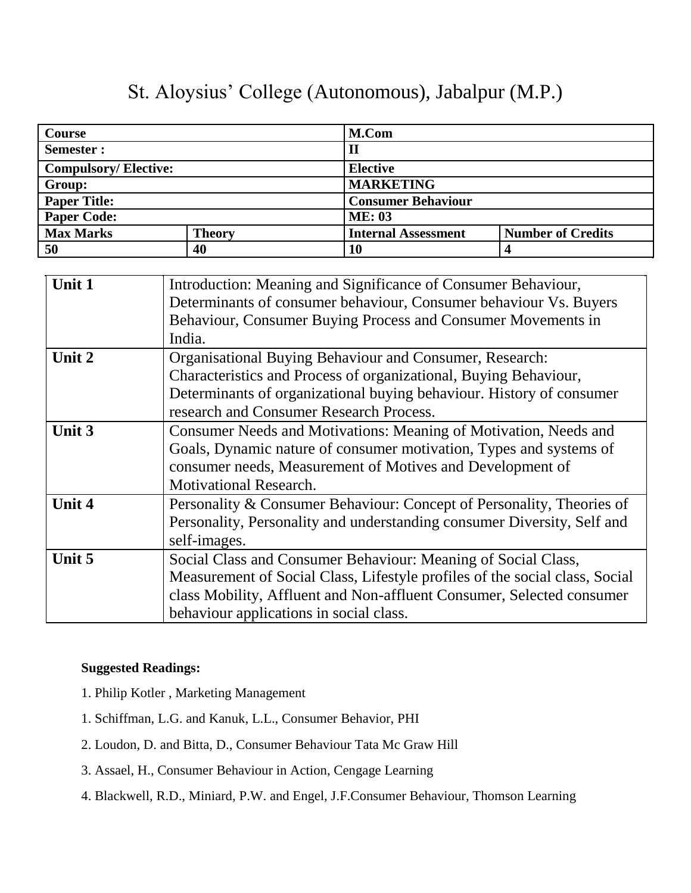| <b>Course</b>               |               | M.Com                      |                          |  |  |
|-----------------------------|---------------|----------------------------|--------------------------|--|--|
| Semester:                   |               | $\mathbf H$                |                          |  |  |
| <b>Compulsory/Elective:</b> |               | <b>Elective</b>            |                          |  |  |
| Group:                      |               | <b>MARKETING</b>           |                          |  |  |
| <b>Paper Title:</b>         |               | <b>Consumer Behaviour</b>  |                          |  |  |
| <b>Paper Code:</b>          |               | <b>ME: 03</b>              |                          |  |  |
| <b>Max Marks</b>            | <b>Theory</b> | <b>Internal Assessment</b> | <b>Number of Credits</b> |  |  |
| 50                          | 40            | 10                         |                          |  |  |

| Unit 1        | Introduction: Meaning and Significance of Consumer Behaviour,               |
|---------------|-----------------------------------------------------------------------------|
|               | Determinants of consumer behaviour, Consumer behaviour Vs. Buyers           |
|               | Behaviour, Consumer Buying Process and Consumer Movements in                |
|               | India.                                                                      |
| Unit 2        | Organisational Buying Behaviour and Consumer, Research:                     |
|               | Characteristics and Process of organizational, Buying Behaviour,            |
|               | Determinants of organizational buying behaviour. History of consumer        |
|               | research and Consumer Research Process.                                     |
| Unit 3        | Consumer Needs and Motivations: Meaning of Motivation, Needs and            |
|               | Goals, Dynamic nature of consumer motivation, Types and systems of          |
|               | consumer needs, Measurement of Motives and Development of                   |
|               | <b>Motivational Research.</b>                                               |
| <b>Unit 4</b> | Personality & Consumer Behaviour: Concept of Personality, Theories of       |
|               | Personality, Personality and understanding consumer Diversity, Self and     |
|               | self-images.                                                                |
| Unit 5        | Social Class and Consumer Behaviour: Meaning of Social Class,               |
|               | Measurement of Social Class, Lifestyle profiles of the social class, Social |
|               | class Mobility, Affluent and Non-affluent Consumer, Selected consumer       |
|               | behaviour applications in social class.                                     |

- 1. Philip Kotler , Marketing Management
- 1. Schiffman, L.G. and Kanuk, L.L., Consumer Behavior, PHI
- 2. Loudon, D. and Bitta, D., Consumer Behaviour Tata Mc Graw Hill
- 3. Assael, H., Consumer Behaviour in Action, Cengage Learning
- 4. Blackwell, R.D., Miniard, P.W. and Engel, J.F.Consumer Behaviour, Thomson Learning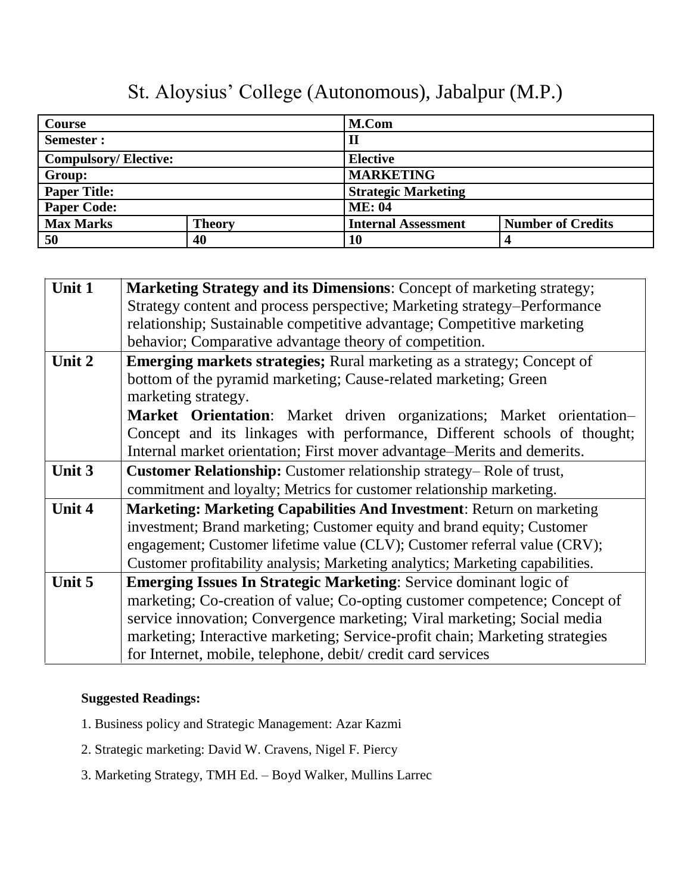| <b>Course</b>               |               | M.Com                      |                          |  |  |
|-----------------------------|---------------|----------------------------|--------------------------|--|--|
| Semester:                   |               | $\mathbf{I}$               |                          |  |  |
| <b>Compulsory/Elective:</b> |               | <b>Elective</b>            |                          |  |  |
| Group:                      |               | <b>MARKETING</b>           |                          |  |  |
| <b>Paper Title:</b>         |               | <b>Strategic Marketing</b> |                          |  |  |
| <b>Paper Code:</b>          |               | <b>ME: 04</b>              |                          |  |  |
| <b>Max Marks</b>            | <b>Theory</b> | <b>Internal Assessment</b> | <b>Number of Credits</b> |  |  |
| 50                          | 40            | 10                         |                          |  |  |

| Unit 1 | <b>Marketing Strategy and its Dimensions:</b> Concept of marketing strategy;  |
|--------|-------------------------------------------------------------------------------|
|        | Strategy content and process perspective; Marketing strategy-Performance      |
|        | relationship; Sustainable competitive advantage; Competitive marketing        |
|        | behavior; Comparative advantage theory of competition.                        |
| Unit 2 | <b>Emerging markets strategies;</b> Rural marketing as a strategy; Concept of |
|        | bottom of the pyramid marketing; Cause-related marketing; Green               |
|        | marketing strategy.                                                           |
|        | <b>Market Orientation:</b> Market driven organizations; Market orientation-   |
|        | Concept and its linkages with performance, Different schools of thought;      |
|        | Internal market orientation; First mover advantage–Merits and demerits.       |
| Unit 3 | Customer Relationship: Customer relationship strategy–Role of trust,          |
|        | commitment and loyalty; Metrics for customer relationship marketing.          |
| Unit 4 | <b>Marketing: Marketing Capabilities And Investment: Return on marketing</b>  |
|        | investment; Brand marketing; Customer equity and brand equity; Customer       |
|        | engagement; Customer lifetime value (CLV); Customer referral value (CRV);     |
|        | Customer profitability analysis; Marketing analytics; Marketing capabilities. |
| Unit 5 | <b>Emerging Issues In Strategic Marketing: Service dominant logic of</b>      |
|        | marketing; Co-creation of value; Co-opting customer competence; Concept of    |
|        | service innovation; Convergence marketing; Viral marketing; Social media      |
|        | marketing; Interactive marketing; Service-profit chain; Marketing strategies  |
|        | for Internet, mobile, telephone, debit/ credit card services                  |

- 1. Business policy and Strategic Management: Azar Kazmi
- 2. Strategic marketing: David W. Cravens, Nigel F. Piercy
- 3. Marketing Strategy, TMH Ed. Boyd Walker, Mullins Larrec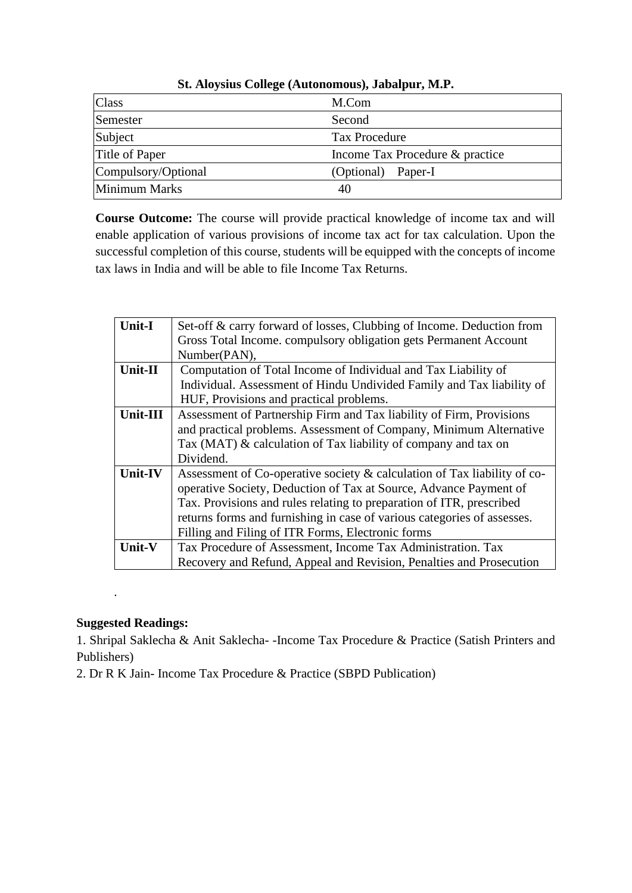| <b>Class</b>        | M.Com                           |
|---------------------|---------------------------------|
| Semester            | Second                          |
| Subject             | <b>Tax Procedure</b>            |
| Title of Paper      | Income Tax Procedure & practice |
| Compulsory/Optional | (Optional)<br>Paper-I           |
| Minimum Marks       | 40                              |

**Course Outcome:** The course will provide practical knowledge of income tax and will enable application of various provisions of income tax act for tax calculation. Upon the successful completion of this course, students will be equipped with the concepts of income tax laws in India and will be able to file Income Tax Returns.

| <b>Unit-I</b> | Set-off & carry forward of losses, Clubbing of Income. Deduction from    |
|---------------|--------------------------------------------------------------------------|
|               | Gross Total Income. compulsory obligation gets Permanent Account         |
|               | Number(PAN),                                                             |
| Unit-II       | Computation of Total Income of Individual and Tax Liability of           |
|               | Individual. Assessment of Hindu Undivided Family and Tax liability of    |
|               | HUF, Provisions and practical problems.                                  |
| Unit-III      | Assessment of Partnership Firm and Tax liability of Firm, Provisions     |
|               | and practical problems. Assessment of Company, Minimum Alternative       |
|               | Tax (MAT) & calculation of Tax liability of company and tax on           |
|               | Dividend.                                                                |
| Unit-IV       | Assessment of Co-operative society & calculation of Tax liability of co- |
|               | operative Society, Deduction of Tax at Source, Advance Payment of        |
|               | Tax. Provisions and rules relating to preparation of ITR, prescribed     |
|               | returns forms and furnishing in case of various categories of assesses.  |
|               | Filling and Filing of ITR Forms, Electronic forms                        |
| Unit-V        | Tax Procedure of Assessment, Income Tax Administration. Tax              |
|               | Recovery and Refund, Appeal and Revision, Penalties and Prosecution      |

#### **Suggested Readings:**

.

1. Shripal Saklecha & Anit Saklecha- -Income Tax Procedure & Practice (Satish Printers and Publishers)

2. Dr R K Jain- Income Tax Procedure & Practice (SBPD Publication)